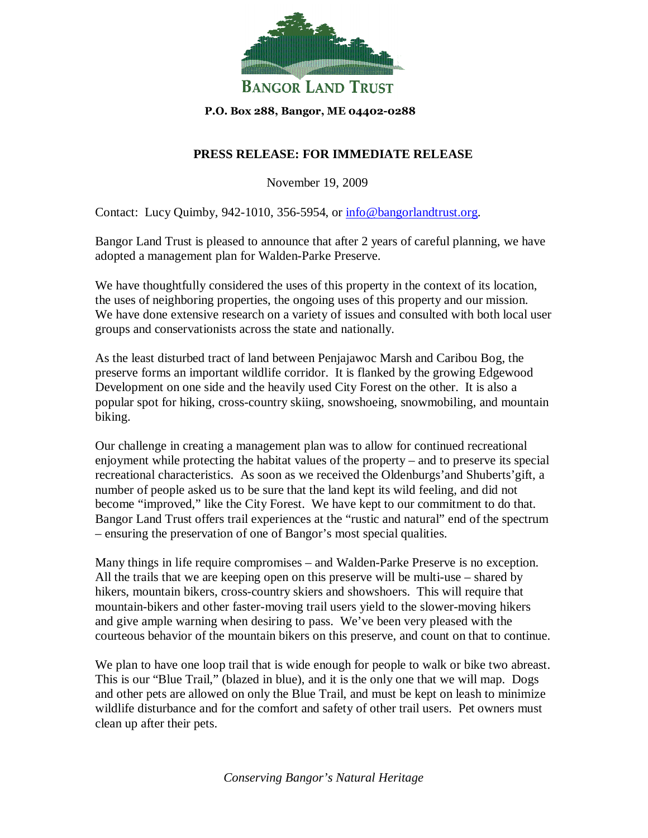

## P.O. Box 288, Bangor, ME 04402-0288

## **PRESS RELEASE: FOR IMMEDIATE RELEASE**

November 19, 2009

Contact: Lucy Quimby, 942-1010, 356-5954, or info@bangorlandtrust.org.

Bangor Land Trust is pleased to announce that after 2 years of careful planning, we have adopted a management plan for Walden-Parke Preserve.

We have thoughtfully considered the uses of this property in the context of its location, the uses of neighboring properties, the ongoing uses of this property and our mission. We have done extensive research on a variety of issues and consulted with both local user groups and conservationists across the state and nationally.

As the least disturbed tract of land between Penjajawoc Marsh and Caribou Bog, the preserve forms an important wildlife corridor. It is flanked by the growing Edgewood Development on one side and the heavily used City Forest on the other. It is also a popular spot for hiking, cross-country skiing, snowshoeing, snowmobiling, and mountain biking.

Our challenge in creating a management plan was to allow for continued recreational enjoyment while protecting the habitat values of the property – and to preserve its special recreational characteristics. As soon as we received the Oldenburgs'and Shuberts'gift, a number of people asked us to be sure that the land kept its wild feeling, and did not become "improved," like the City Forest. We have kept to our commitment to do that. Bangor Land Trust offers trail experiences at the "rustic and natural" end of the spectrum – ensuring the preservation of one of Bangor's most special qualities.

Many things in life require compromises – and Walden-Parke Preserve is no exception. All the trails that we are keeping open on this preserve will be multi-use – shared by hikers, mountain bikers, cross-country skiers and showshoers. This will require that mountain-bikers and other faster-moving trail users yield to the slower-moving hikers and give ample warning when desiring to pass. We've been very pleased with the courteous behavior of the mountain bikers on this preserve, and count on that to continue.

We plan to have one loop trail that is wide enough for people to walk or bike two abreast. This is our "Blue Trail," (blazed in blue), and it is the only one that we will map. Dogs and other pets are allowed on only the Blue Trail, and must be kept on leash to minimize wildlife disturbance and for the comfort and safety of other trail users. Pet owners must clean up after their pets.

*Conserving Bangor's Natural Heritage*